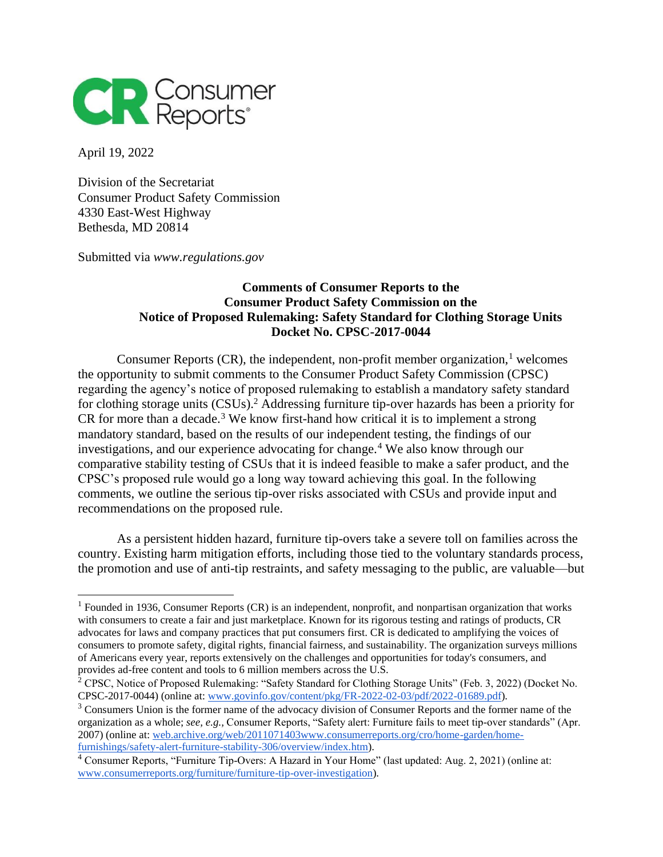

April 19, 2022

Division of the Secretariat Consumer Product Safety Commission 4330 East-West Highway Bethesda, MD 20814

Submitted via *www.regulations.gov*

### **Comments of Consumer Reports to the Consumer Product Safety Commission on the Notice of Proposed Rulemaking: Safety Standard for Clothing Storage Units Docket No. CPSC-2017-0044**

Consumer Reports  $(CR)$ , the independent, non-profit member organization, <sup>1</sup> welcomes the opportunity to submit comments to the Consumer Product Safety Commission (CPSC) regarding the agency's notice of proposed rulemaking to establish a mandatory safety standard for clothing storage units (CSUs).<sup>2</sup> Addressing furniture tip-over hazards has been a priority for CR for more than a decade.<sup>3</sup> We know first-hand how critical it is to implement a strong mandatory standard, based on the results of our independent testing, the findings of our investigations, and our experience advocating for change.<sup>4</sup> We also know through our comparative stability testing of CSUs that it is indeed feasible to make a safer product, and the CPSC's proposed rule would go a long way toward achieving this goal. In the following comments, we outline the serious tip-over risks associated with CSUs and provide input and recommendations on the proposed rule.

As a persistent hidden hazard, furniture tip-overs take a severe toll on families across the country. Existing harm mitigation efforts, including those tied to the voluntary standards process, the promotion and use of anti-tip restraints, and safety messaging to the public, are valuable—but

<sup>&</sup>lt;sup>1</sup> Founded in 1936, Consumer Reports (CR) is an independent, nonprofit, and nonpartisan organization that works with consumers to create a fair and just marketplace. Known for its rigorous testing and ratings of products, CR advocates for laws and company practices that put consumers first. CR is dedicated to amplifying the voices of consumers to promote safety, digital rights, financial fairness, and sustainability. The organization surveys millions of Americans every year, reports extensively on the challenges and opportunities for today's consumers, and provides ad-free content and tools to 6 million members across the U.S.

<sup>&</sup>lt;sup>2</sup> CPSC, Notice of Proposed Rulemaking: "Safety Standard for Clothing Storage Units" (Feb. 3, 2022) (Docket No. CPSC-2017-0044) (online at: [www.govinfo.gov/content/pkg/FR-2022-02-03/pdf/2022-01689.pdf\)](https://www.govinfo.gov/content/pkg/FR-2022-02-03/pdf/2022-01689.pdf#page=10).

<sup>&</sup>lt;sup>3</sup> Consumers Union is the former name of the advocacy division of Consumer Reports and the former name of the organization as a whole; *see, e.g.,* Consumer Reports, "Safety alert: Furniture fails to meet tip-over standards" (Apr. 2007) (online at: [web.archive.org/web/2011071403www.consumerreports.org/cro/home-garden/home](https://web.archive.org/web/20110714032826/https:/www.consumerreports.org/cro/home-garden/home-furnishings/safety-alert-furniture-stability-306/overview/index.htm)[furnishings/safety-alert-furniture-stability-306/overview/index.htm\)](https://web.archive.org/web/20110714032826/https:/www.consumerreports.org/cro/home-garden/home-furnishings/safety-alert-furniture-stability-306/overview/index.htm).

<sup>4</sup> Consumer Reports, "Furniture Tip-Overs: A Hazard in Your Home" (last updated: Aug. 2, 2021) (online at: [www.consumerreports.org/furniture/furniture-tip-over-investigation\)](https://www.consumerreports.org/furniture/furniture-tip-over-investigation).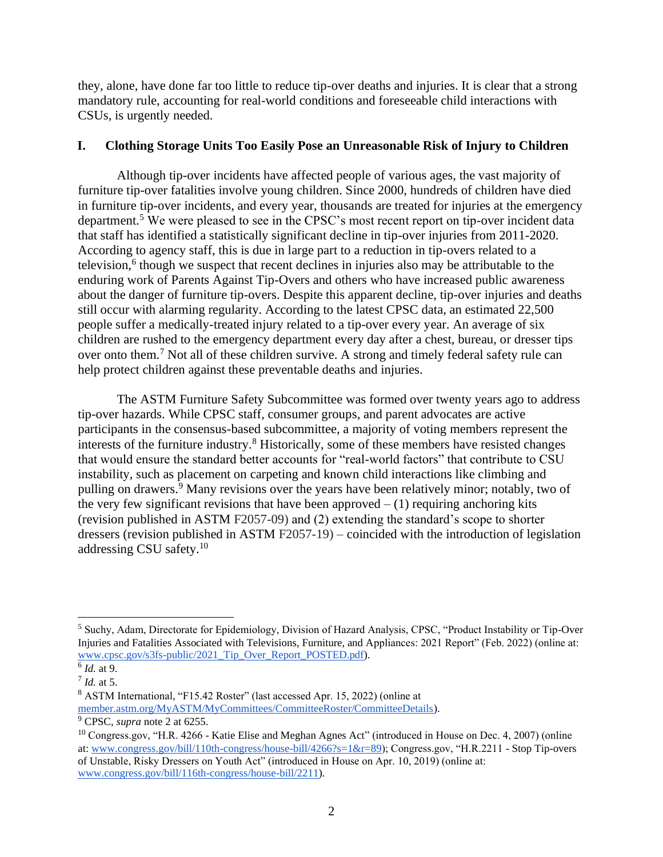they, alone, have done far too little to reduce tip-over deaths and injuries. It is clear that a strong mandatory rule, accounting for real-world conditions and foreseeable child interactions with CSUs, is urgently needed.

### **I. Clothing Storage Units Too Easily Pose an Unreasonable Risk of Injury to Children**

Although tip-over incidents have affected people of various ages, the vast majority of furniture tip-over fatalities involve young children. Since 2000, hundreds of children have died in furniture tip-over incidents, and every year, thousands are treated for injuries at the emergency department.<sup>5</sup> We were pleased to see in the CPSC's most recent report on tip-over incident data that staff has identified a statistically significant decline in tip-over injuries from 2011-2020. According to agency staff, this is due in large part to a reduction in tip-overs related to a television,<sup>6</sup> though we suspect that recent declines in injuries also may be attributable to the enduring work of Parents Against Tip-Overs and others who have increased public awareness about the danger of furniture tip-overs. Despite this apparent decline, tip-over injuries and deaths still occur with alarming regularity. According to the latest CPSC data, an estimated 22,500 people suffer a medically-treated injury related to a tip-over every year. An average of six children are rushed to the emergency department every day after a chest, bureau, or dresser tips over onto them.<sup>7</sup> Not all of these children survive. A strong and timely federal safety rule can help protect children against these preventable deaths and injuries.

The ASTM Furniture Safety Subcommittee was formed over twenty years ago to address tip-over hazards. While CPSC staff, consumer groups, and parent advocates are active participants in the consensus-based subcommittee, a majority of voting members represent the interests of the furniture industry.<sup>8</sup> Historically, some of these members have resisted changes that would ensure the standard better accounts for "real-world factors" that contribute to CSU instability, such as placement on carpeting and known child interactions like climbing and pulling on drawers.<sup>9</sup> Many revisions over the years have been relatively minor; notably, two of the very few significant revisions that have been approved  $- (1)$  requiring anchoring kits (revision published in ASTM F2057-09) and (2) extending the standard's scope to shorter dressers (revision published in ASTM F2057-19) – coincided with the introduction of legislation addressing CSU safety.<sup>10</sup>

<sup>5</sup> Suchy, Adam, Directorate for Epidemiology, Division of Hazard Analysis, CPSC, "Product Instability or Tip-Over Injuries and Fatalities Associated with Televisions, Furniture, and Appliances: 2021 Report" (Feb. 2022) (online at: [www.cpsc.gov/s3fs-public/2021\\_Tip\\_Over\\_Report\\_POSTED.pdf\)](https://www.cpsc.gov/s3fs-public/2021_Tip_Over_Report_POSTED.pdf?VersionId=d2lfwtV.L1nk0GSfbNjTSSJgUdaHkkZ9).

<sup>6</sup> *Id.* at 9.

<sup>7</sup> *Id.* at 5.

<sup>8</sup> ASTM International, "F15.42 Roster" (last accessed Apr. 15, 2022) (online at [member.astm.org/MyASTM/MyCommittees/CommitteeRoster/CommitteeDetails\)](https://member.astm.org/MyASTM/MyCommittees/CommitteeRoster/CommitteeDetails).

<sup>9</sup> CPSC, *supra* note 2 at 6255.

<sup>10</sup> Congress.gov, "H.R. 4266 - Katie Elise and Meghan Agnes Act" (introduced in House on Dec. 4, 2007) (online at[: www.congress.gov/bill/110th-congress/house-bill/4266?s=1&r=89\)](https://www.congress.gov/bill/110th-congress/house-bill/4266?s=1&r=89); Congress.gov, "H.R.2211 - Stop Tip-overs of Unstable, Risky Dressers on Youth Act" (introduced in House on Apr. 10, 2019) (online at: [www.congress.gov/bill/116th-congress/house-bill/2211\)](http://www.congress.gov/bill/116th-congress/house-bill/2211).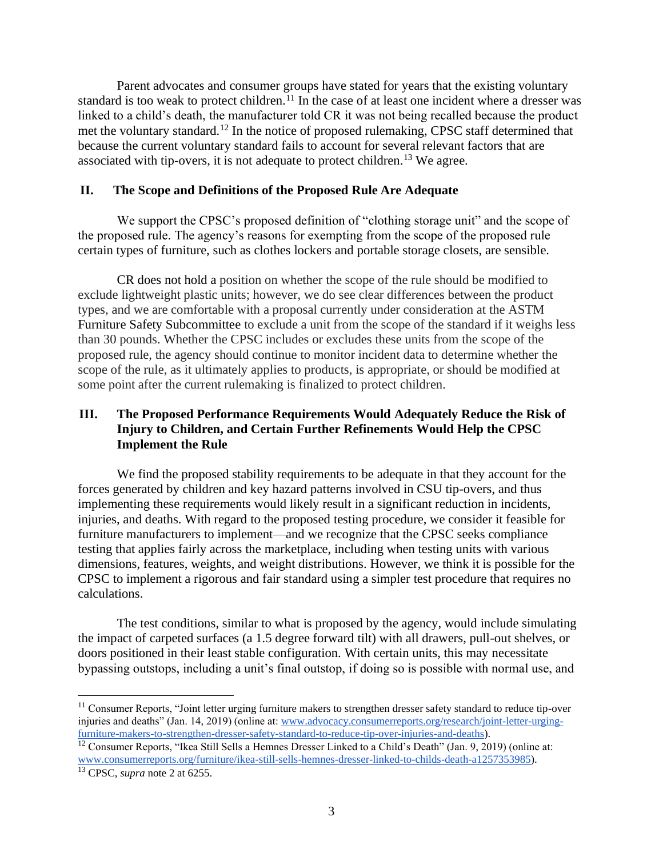Parent advocates and consumer groups have stated for years that the existing voluntary standard is too weak to protect children.<sup>11</sup> In the case of at least one incident where a dresser was linked to a child's death, the manufacturer told CR it was not being recalled because the product met the voluntary standard.<sup>12</sup> In the notice of proposed rulemaking, CPSC staff determined that because the current voluntary standard fails to account for several relevant factors that are associated with tip-overs, it is not adequate to protect children.<sup>13</sup> We agree.

#### **II. The Scope and Definitions of the Proposed Rule Are Adequate**

We support the CPSC's proposed definition of "clothing storage unit" and the scope of the proposed rule. The agency's reasons for exempting from the scope of the proposed rule certain types of furniture, such as clothes lockers and portable storage closets, are sensible.

CR does not hold a position on whether the scope of the rule should be modified to exclude lightweight plastic units; however, we do see clear differences between the product types, and we are comfortable with a proposal currently under consideration at the ASTM Furniture Safety Subcommittee to exclude a unit from the scope of the standard if it weighs less than 30 pounds. Whether the CPSC includes or excludes these units from the scope of the proposed rule, the agency should continue to monitor incident data to determine whether the scope of the rule, as it ultimately applies to products, is appropriate, or should be modified at some point after the current rulemaking is finalized to protect children.

# **III. The Proposed Performance Requirements Would Adequately Reduce the Risk of Injury to Children, and Certain Further Refinements Would Help the CPSC Implement the Rule**

We find the proposed stability requirements to be adequate in that they account for the forces generated by children and key hazard patterns involved in CSU tip-overs, and thus implementing these requirements would likely result in a significant reduction in incidents, injuries, and deaths. With regard to the proposed testing procedure, we consider it feasible for furniture manufacturers to implement—and we recognize that the CPSC seeks compliance testing that applies fairly across the marketplace, including when testing units with various dimensions, features, weights, and weight distributions. However, we think it is possible for the CPSC to implement a rigorous and fair standard using a simpler test procedure that requires no calculations.

The test conditions, similar to what is proposed by the agency, would include simulating the impact of carpeted surfaces (a 1.5 degree forward tilt) with all drawers, pull-out shelves, or doors positioned in their least stable configuration. With certain units, this may necessitate bypassing outstops, including a unit's final outstop, if doing so is possible with normal use, and

<sup>&</sup>lt;sup>11</sup> Consumer Reports, "Joint letter urging furniture makers to strengthen dresser safety standard to reduce tip-over injuries and deaths" (Jan. 14, 2019) (online at[: www.advocacy.consumerreports.org/research/joint-letter-urging](https://advocacy.consumerreports.org/research/joint-letter-urging-furniture-makers-to-strengthen-dresser-safety-standard-to-reduce-tip-over-injuries-and-deaths)[furniture-makers-to-strengthen-dresser-safety-standard-to-reduce-tip-over-injuries-and-deaths\)](https://advocacy.consumerreports.org/research/joint-letter-urging-furniture-makers-to-strengthen-dresser-safety-standard-to-reduce-tip-over-injuries-and-deaths).

<sup>&</sup>lt;sup>12</sup> Consumer Reports, "Ikea Still Sells a Hemnes Dresser Linked to a Child's Death" (Jan. 9, 2019) (online at: [www.consumerreports.org/furniture/ikea-still-sells-hemnes-dresser-linked-to-childs-death-a1257353985\)](https://www.consumerreports.org/furniture/ikea-still-sells-hemnes-dresser-linked-to-childs-death-a1257353985/).

<sup>13</sup> CPSC, *supra* note 2 at 6255.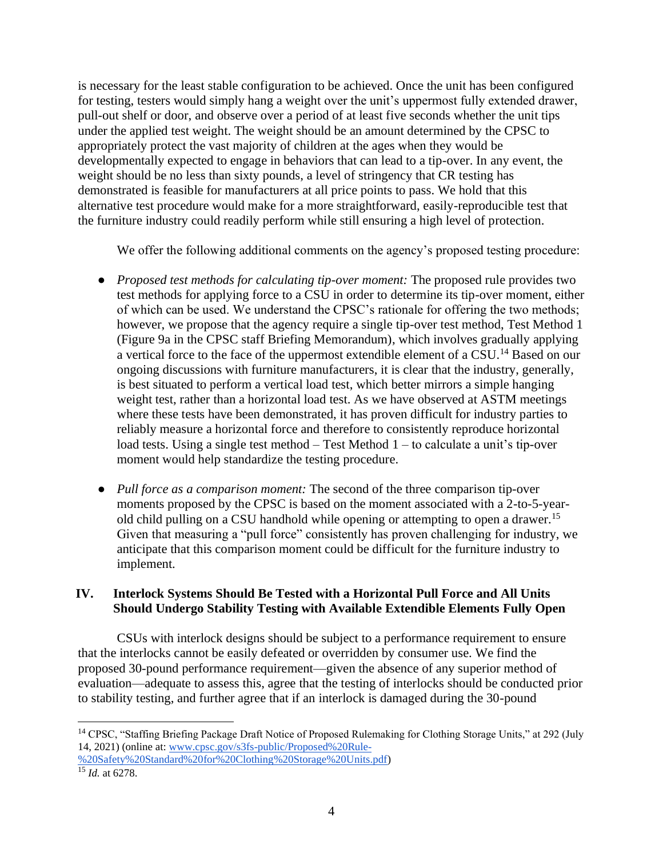is necessary for the least stable configuration to be achieved. Once the unit has been configured for testing, testers would simply hang a weight over the unit's uppermost fully extended drawer, pull-out shelf or door, and observe over a period of at least five seconds whether the unit tips under the applied test weight. The weight should be an amount determined by the CPSC to appropriately protect the vast majority of children at the ages when they would be developmentally expected to engage in behaviors that can lead to a tip-over. In any event, the weight should be no less than sixty pounds, a level of stringency that CR testing has demonstrated is feasible for manufacturers at all price points to pass. We hold that this alternative test procedure would make for a more straightforward, easily-reproducible test that the furniture industry could readily perform while still ensuring a high level of protection.

We offer the following additional comments on the agency's proposed testing procedure:

- *Proposed test methods for calculating tip-over moment:* The proposed rule provides two test methods for applying force to a CSU in order to determine its tip-over moment, either of which can be used. We understand the CPSC's rationale for offering the two methods; however, we propose that the agency require a single tip-over test method, Test Method 1 (Figure 9a in the CPSC staff Briefing Memorandum), which involves gradually applying a vertical force to the face of the uppermost extendible element of a CSU.<sup>14</sup> Based on our ongoing discussions with furniture manufacturers, it is clear that the industry, generally, is best situated to perform a vertical load test, which better mirrors a simple hanging weight test, rather than a horizontal load test. As we have observed at ASTM meetings where these tests have been demonstrated, it has proven difficult for industry parties to reliably measure a horizontal force and therefore to consistently reproduce horizontal load tests. Using a single test method – Test Method 1 – to calculate a unit's tip-over moment would help standardize the testing procedure.
- *Pull force as a comparison moment:* The second of the three comparison tip-over moments proposed by the CPSC is based on the moment associated with a 2-to-5-yearold child pulling on a CSU handhold while opening or attempting to open a drawer.<sup>15</sup> Given that measuring a "pull force" consistently has proven challenging for industry, we anticipate that this comparison moment could be difficult for the furniture industry to implement.

## **IV. Interlock Systems Should Be Tested with a Horizontal Pull Force and All Units Should Undergo Stability Testing with Available Extendible Elements Fully Open**

CSUs with interlock designs should be subject to a performance requirement to ensure that the interlocks cannot be easily defeated or overridden by consumer use. We find the proposed 30-pound performance requirement—given the absence of any superior method of evaluation—adequate to assess this, agree that the testing of interlocks should be conducted prior to stability testing, and further agree that if an interlock is damaged during the 30-pound

<sup>&</sup>lt;sup>14</sup> CPSC, "Staffing Briefing Package Draft Notice of Proposed Rulemaking for Clothing Storage Units," at 292 (July 14, 2021) (online at: [www.cpsc.gov/s3fs-public/Proposed%20Rule-](https://www.cpsc.gov/s3fs-public/Proposed%20Rule-%20Safety%20Standard%20for%20Clothing%20Storage%20Units.pdf#page=292) [%20Safety%20Standard%20for%20Clothing%20Storage%20Units.pdf\)](https://www.cpsc.gov/s3fs-public/Proposed%20Rule-%20Safety%20Standard%20for%20Clothing%20Storage%20Units.pdf#page=292)

<sup>15</sup> *Id.* at 6278.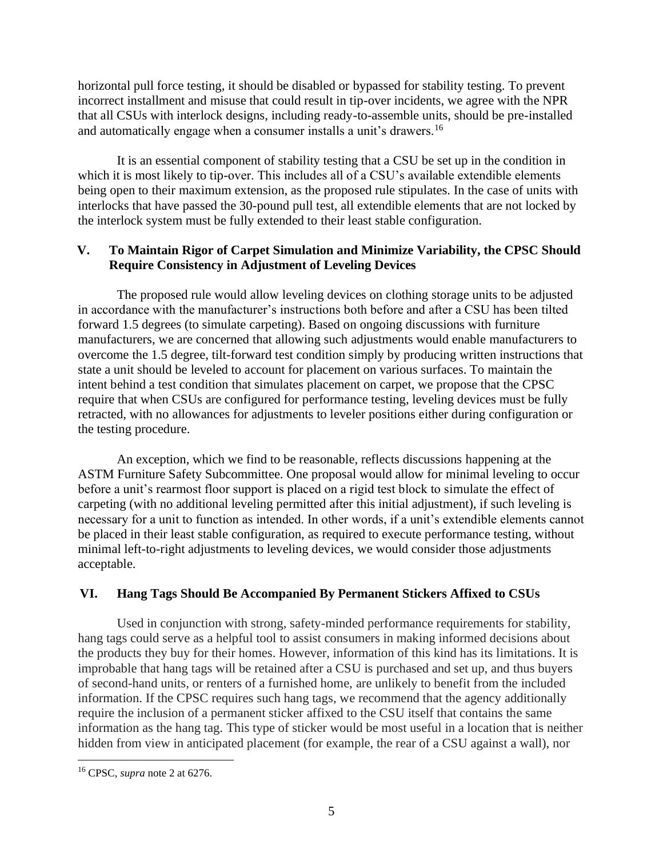horizontal pull force testing, it should be disabled or bypassed for stability testing. To prevent incorrect installment and misuse that could result in tip-over incidents, we agree with the NPR that all CSUs with interlock designs, including ready-to-assemble units, should be pre-installed and automatically engage when a consumer installs a unit's drawers.<sup>16</sup>

It is an essential component of stability testing that a CSU be set up in the condition in which it is most likely to tip-over. This includes all of a CSU's available extendible elements being open to their maximum extension, as the proposed rule stipulates. In the case of units with interlocks that have passed the 30-pound pull test, all extendible elements that are not locked by the interlock system must be fully extended to their least stable configuration.

## **V. To Maintain Rigor of Carpet Simulation and Minimize Variability, the CPSC Should Require Consistency in Adjustment of Leveling Devices**

The proposed rule would allow leveling devices on clothing storage units to be adjusted in accordance with the manufacturer's instructions both before and after a CSU has been tilted forward 1.5 degrees (to simulate carpeting). Based on ongoing discussions with furniture manufacturers, we are concerned that allowing such adjustments would enable manufacturers to overcome the 1.5 degree, tilt-forward test condition simply by producing written instructions that state a unit should be leveled to account for placement on various surfaces. To maintain the intent behind a test condition that simulates placement on carpet, we propose that the CPSC require that when CSUs are configured for performance testing, leveling devices must be fully retracted, with no allowances for adjustments to leveler positions either during configuration or the testing procedure.

An exception, which we find to be reasonable, reflects discussions happening at the ASTM Furniture Safety Subcommittee. One proposal would allow for minimal leveling to occur before a unit's rearmost floor support is placed on a rigid test block to simulate the effect of carpeting (with no additional leveling permitted after this initial adjustment), if such leveling is necessary for a unit to function as intended. In other words, if a unit's extendible elements cannot be placed in their least stable configuration, as required to execute performance testing, without minimal left-to-right adjustments to leveling devices, we would consider those adjustments acceptable.

## **VI. Hang Tags Should Be Accompanied By Permanent Stickers Affixed to CSUs**

Used in conjunction with strong, safety-minded performance requirements for stability, hang tags could serve as a helpful tool to assist consumers in making informed decisions about the products they buy for their homes. However, information of this kind has its limitations. It is improbable that hang tags will be retained after a CSU is purchased and set up, and thus buyers of second-hand units, or renters of a furnished home, are unlikely to benefit from the included information. If the CPSC requires such hang tags, we recommend that the agency additionally require the inclusion of a permanent sticker affixed to the CSU itself that contains the same information as the hang tag. This type of sticker would be most useful in a location that is neither hidden from view in anticipated placement (for example, the rear of a CSU against a wall), nor

<sup>16</sup> CPSC, *supra* note 2 at 6276.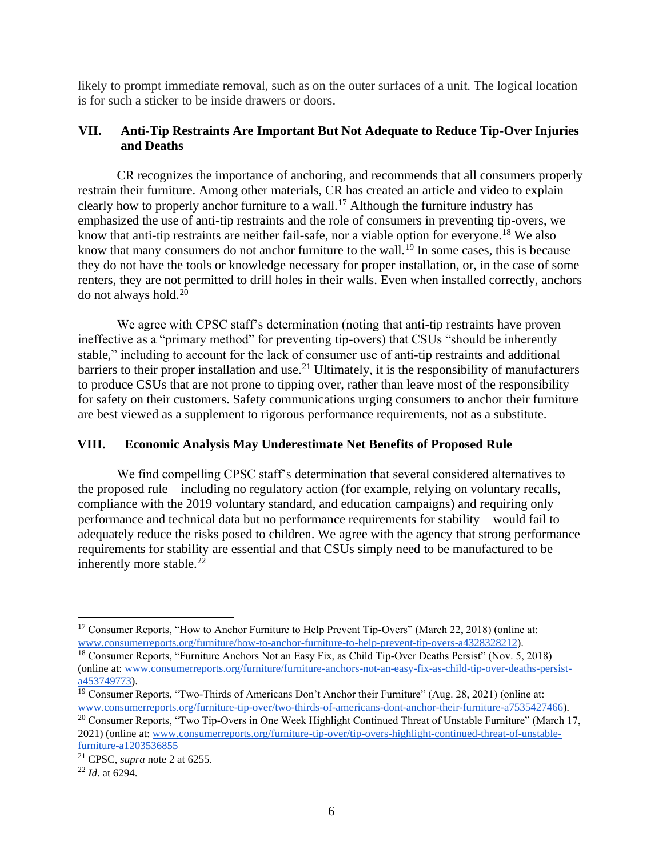likely to prompt immediate removal, such as on the outer surfaces of a unit. The logical location is for such a sticker to be inside drawers or doors.

## **VII. Anti-Tip Restraints Are Important But Not Adequate to Reduce Tip-Over Injuries and Deaths**

CR recognizes the importance of anchoring, and recommends that all consumers properly restrain their furniture. Among other materials, CR has created an article and video to explain clearly how to properly anchor furniture to a wall.<sup>17</sup> Although the furniture industry has emphasized the use of anti-tip restraints and the role of consumers in preventing tip-overs, we know that anti-tip restraints are neither fail-safe, nor a viable option for everyone.<sup>18</sup> We also know that many consumers do not anchor furniture to the wall.<sup>19</sup> In some cases, this is because they do not have the tools or knowledge necessary for proper installation, or, in the case of some renters, they are not permitted to drill holes in their walls. Even when installed correctly, anchors do not always hold.<sup>20</sup>

We agree with CPSC staff's determination (noting that anti-tip restraints have proven ineffective as a "primary method" for preventing tip-overs) that CSUs "should be inherently stable," including to account for the lack of consumer use of anti-tip restraints and additional barriers to their proper installation and use.<sup>21</sup> Ultimately, it is the responsibility of manufacturers to produce CSUs that are not prone to tipping over, rather than leave most of the responsibility for safety on their customers. Safety communications urging consumers to anchor their furniture are best viewed as a supplement to rigorous performance requirements, not as a substitute.

#### **VIII. Economic Analysis May Underestimate Net Benefits of Proposed Rule**

We find compelling CPSC staff's determination that several considered alternatives to the proposed rule – including no regulatory action (for example, relying on voluntary recalls, compliance with the 2019 voluntary standard, and education campaigns) and requiring only performance and technical data but no performance requirements for stability – would fail to adequately reduce the risks posed to children. We agree with the agency that strong performance requirements for stability are essential and that CSUs simply need to be manufactured to be inherently more stable. $22$ 

<sup>&</sup>lt;sup>17</sup> Consumer Reports, "How to Anchor Furniture to Help Prevent Tip-Overs" (March 22, 2018) (online at: [www.consumerreports.org/furniture/how-to-anchor-furniture-to-help-prevent-tip-overs-a4328328212\)](https://www.consumerreports.org/furniture/how-to-anchor-furniture-to-help-prevent-tip-overs-a4328328212/).

<sup>18</sup> Consumer Reports, "Furniture Anchors Not an Easy Fix, as Child Tip-Over Deaths Persist" (Nov. 5, 2018) (online at: [www.consumerreports.org/furniture/furniture-anchors-not-an-easy-fix-as-child-tip-over-deaths-persist](https://www.consumerreports.org/furniture/furniture-anchors-not-an-easy-fix-as-child-tip-over-deaths-persist-a4537497732/)[a453749773\)](https://www.consumerreports.org/furniture/furniture-anchors-not-an-easy-fix-as-child-tip-over-deaths-persist-a4537497732/).

<sup>&</sup>lt;sup>19</sup> Consumer Reports, "Two-Thirds of Americans Don't Anchor their Furniture" (Aug. 28, 2021) (online at: [www.consumerreports.org/furniture-tip-over/two-thirds-of-americans-dont-anchor-their-furniture-a7535427466\)](http://www.consumerreports.org/furniture-tip-over/two-thirds-of-americans-dont-anchor-their-furniture-a7535427466).

<sup>&</sup>lt;sup>20</sup> Consumer Reports, "Two Tip-Overs in One Week Highlight Continued Threat of Unstable Furniture" (March 17, 2021) (online at: [www.consumerreports.org/furniture-tip-over/tip-overs-highlight-continued-threat-of-unstable](https://www.consumerreports.org/furniture-tip-over/tip-overs-highlight-continued-threat-of-unstable-furniture-a1203536855/)[furniture-a1203536855](https://www.consumerreports.org/furniture-tip-over/tip-overs-highlight-continued-threat-of-unstable-furniture-a1203536855/)

<sup>21</sup> CPSC, *supra* note 2 at 6255.

<sup>22</sup> *Id*. at 6294.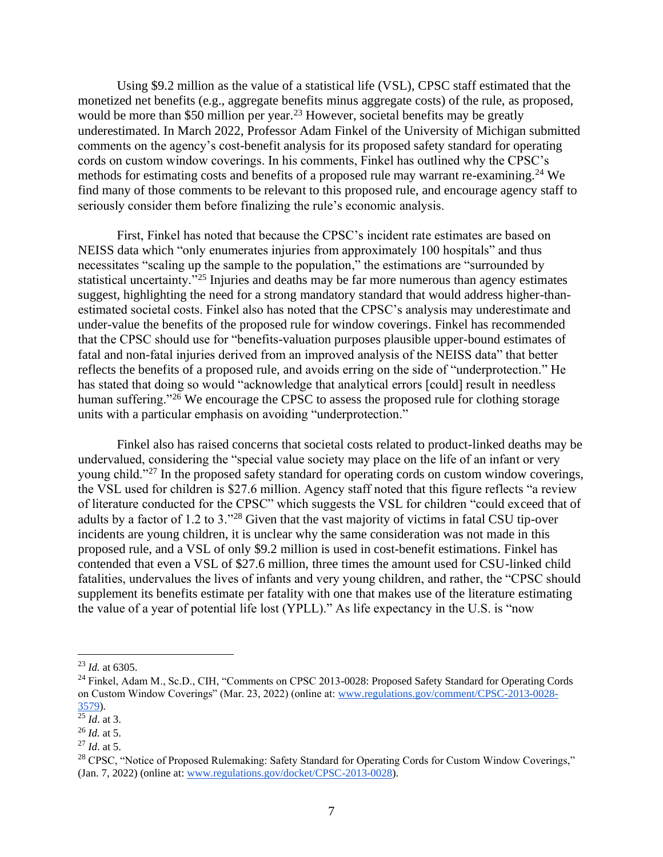Using \$9.2 million as the value of a statistical life (VSL), CPSC staff estimated that the monetized net benefits (e.g., aggregate benefits minus aggregate costs) of the rule, as proposed, would be more than \$50 million per year.<sup>23</sup> However, societal benefits may be greatly underestimated. In March 2022, Professor Adam Finkel of the University of Michigan submitted comments on the agency's cost-benefit analysis for its proposed safety standard for operating cords on custom window coverings. In his comments, Finkel has outlined why the CPSC's methods for estimating costs and benefits of a proposed rule may warrant re-examining.<sup>24</sup> We find many of those comments to be relevant to this proposed rule, and encourage agency staff to seriously consider them before finalizing the rule's economic analysis.

First, Finkel has noted that because the CPSC's incident rate estimates are based on NEISS data which "only enumerates injuries from approximately 100 hospitals" and thus necessitates "scaling up the sample to the population," the estimations are "surrounded by statistical uncertainty."<sup>25</sup> Injuries and deaths may be far more numerous than agency estimates suggest, highlighting the need for a strong mandatory standard that would address higher-thanestimated societal costs. Finkel also has noted that the CPSC's analysis may underestimate and under-value the benefits of the proposed rule for window coverings. Finkel has recommended that the CPSC should use for "benefits-valuation purposes plausible upper-bound estimates of fatal and non-fatal injuries derived from an improved analysis of the NEISS data" that better reflects the benefits of a proposed rule, and avoids erring on the side of "underprotection." He has stated that doing so would "acknowledge that analytical errors [could] result in needless human suffering."<sup>26</sup> We encourage the CPSC to assess the proposed rule for clothing storage units with a particular emphasis on avoiding "underprotection."

Finkel also has raised concerns that societal costs related to product-linked deaths may be undervalued, considering the "special value society may place on the life of an infant or very young child."<sup>27</sup> In the proposed safety standard for operating cords on custom window coverings, the VSL used for children is \$27.6 million. Agency staff noted that this figure reflects "a review of literature conducted for the CPSC" which suggests the VSL for children "could exceed that of adults by a factor of 1.2 to 3."<sup>28</sup> Given that the vast majority of victims in fatal CSU tip-over incidents are young children, it is unclear why the same consideration was not made in this proposed rule, and a VSL of only \$9.2 million is used in cost-benefit estimations. Finkel has contended that even a VSL of \$27.6 million, three times the amount used for CSU-linked child fatalities, undervalues the lives of infants and very young children, and rather, the "CPSC should supplement its benefits estimate per fatality with one that makes use of the literature estimating the value of a year of potential life lost (YPLL)." As life expectancy in the U.S. is "now

<sup>23</sup> *Id.* at 6305.

<sup>&</sup>lt;sup>24</sup> Finkel, Adam M., Sc.D., CIH, "Comments on CPSC 2013-0028: Proposed Safety Standard for Operating Cords on Custom Window Coverings" (Mar. 23, 2022) (online at: [www.regulations.gov/comment/CPSC-2013-0028-](https://www.regulations.gov/comment/CPSC-2013-0028-3579) [3579\)](https://www.regulations.gov/comment/CPSC-2013-0028-3579).

 $\frac{25}{1}$ *Id.* at 3.

<sup>26</sup> *Id.* at 5.

<sup>27</sup> *Id*. at 5.

<sup>&</sup>lt;sup>28</sup> CPSC, "Notice of Proposed Rulemaking: Safety Standard for Operating Cords for Custom Window Coverings," (Jan. 7, 2022) (online at: [www.regulations.gov/docket/CPSC-2013-0028\)](http://www.regulations.gov/docket/CPSC-2013-0028).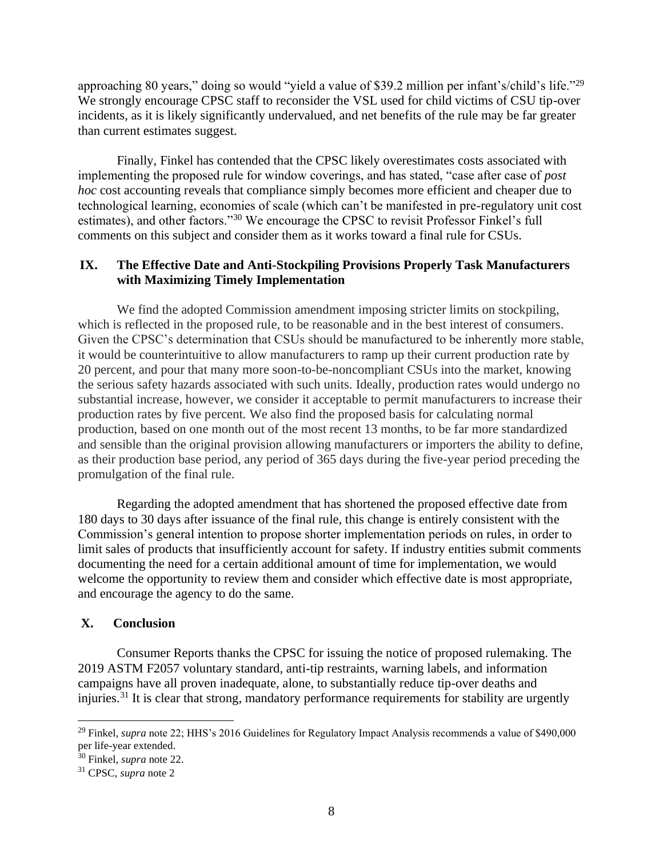approaching 80 years," doing so would "yield a value of \$39.2 million per infant's/child's life."<sup>29</sup> We strongly encourage CPSC staff to reconsider the VSL used for child victims of CSU tip-over incidents, as it is likely significantly undervalued, and net benefits of the rule may be far greater than current estimates suggest.

Finally, Finkel has contended that the CPSC likely overestimates costs associated with implementing the proposed rule for window coverings, and has stated, "case after case of *post hoc* cost accounting reveals that compliance simply becomes more efficient and cheaper due to technological learning, economies of scale (which can't be manifested in pre-regulatory unit cost estimates), and other factors."<sup>30</sup> We encourage the CPSC to revisit Professor Finkel's full comments on this subject and consider them as it works toward a final rule for CSUs.

### **IX. The Effective Date and Anti-Stockpiling Provisions Properly Task Manufacturers with Maximizing Timely Implementation**

We find the adopted Commission amendment imposing stricter limits on stockpiling, which is reflected in the proposed rule, to be reasonable and in the best interest of consumers. Given the CPSC's determination that CSUs should be manufactured to be inherently more stable, it would be counterintuitive to allow manufacturers to ramp up their current production rate by 20 percent, and pour that many more soon-to-be-noncompliant CSUs into the market, knowing the serious safety hazards associated with such units. Ideally, production rates would undergo no substantial increase, however, we consider it acceptable to permit manufacturers to increase their production rates by five percent. We also find the proposed basis for calculating normal production, based on one month out of the most recent 13 months, to be far more standardized and sensible than the original provision allowing manufacturers or importers the ability to define, as their production base period, any period of 365 days during the five-year period preceding the promulgation of the final rule.

Regarding the adopted amendment that has shortened the proposed effective date from 180 days to 30 days after issuance of the final rule, this change is entirely consistent with the Commission's general intention to propose shorter implementation periods on rules, in order to limit sales of products that insufficiently account for safety. If industry entities submit comments documenting the need for a certain additional amount of time for implementation, we would welcome the opportunity to review them and consider which effective date is most appropriate, and encourage the agency to do the same.

#### **X. Conclusion**

Consumer Reports thanks the CPSC for issuing the notice of proposed rulemaking. The 2019 ASTM F2057 voluntary standard, anti-tip restraints, warning labels, and information campaigns have all proven inadequate, alone, to substantially reduce tip-over deaths and injuries.<sup>31</sup> It is clear that strong, mandatory performance requirements for stability are urgently

<sup>&</sup>lt;sup>29</sup> Finkel, *supra* note 22; HHS's 2016 Guidelines for Regulatory Impact Analysis recommends a value of \$490,000 per life-year extended.

<sup>30</sup> Finkel*, supra* note 22.

<sup>31</sup> CPSC, *supra* note 2